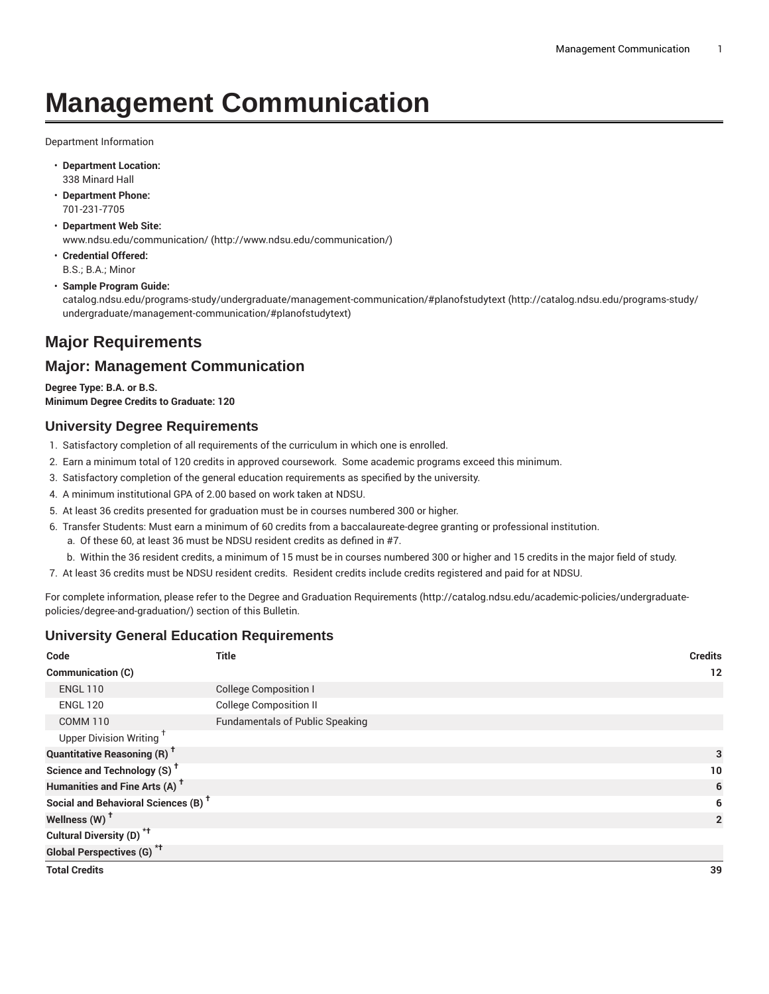# **Management Communication**

Department Information

- **Department Location:** 338 Minard Hall
- **Department Phone:** 701-231-7705
- **Department Web Site:** [www.ndsu.edu/communication/](http://www.ndsu.edu/communication/) ([http://www.ndsu.edu/communication/\)](http://www.ndsu.edu/communication/)
- **Credential Offered:** B.S.; B.A.; Minor

#### • **Sample Program Guide:**

[catalog.ndsu.edu/programs-study/undergraduate/management-communication/#planofstudytext \(http://catalog.ndsu.edu/programs-study/](http://catalog.ndsu.edu/programs-study/undergraduate/management-communication/#planofstudytext) [undergraduate/management-communication/#planofstudytext](http://catalog.ndsu.edu/programs-study/undergraduate/management-communication/#planofstudytext))

# **Major Requirements**

# **Major: Management Communication**

**Degree Type: B.A. or B.S. Minimum Degree Credits to Graduate: 120**

# **University Degree Requirements**

- 1. Satisfactory completion of all requirements of the curriculum in which one is enrolled.
- 2. Earn a minimum total of 120 credits in approved coursework. Some academic programs exceed this minimum.
- 3. Satisfactory completion of the general education requirements as specified by the university.
- 4. A minimum institutional GPA of 2.00 based on work taken at NDSU.
- 5. At least 36 credits presented for graduation must be in courses numbered 300 or higher.
- 6. Transfer Students: Must earn a minimum of 60 credits from a baccalaureate-degree granting or professional institution.
	- a. Of these 60, at least 36 must be NDSU resident credits as defined in #7.
	- b. Within the 36 resident credits, a minimum of 15 must be in courses numbered 300 or higher and 15 credits in the major field of study.
- 7. At least 36 credits must be NDSU resident credits. Resident credits include credits registered and paid for at NDSU.

For complete information, please refer to the Degree and Graduation [Requirements](http://catalog.ndsu.edu/academic-policies/undergraduate-policies/degree-and-graduation/) ([http://catalog.ndsu.edu/academic-policies/undergraduate](http://catalog.ndsu.edu/academic-policies/undergraduate-policies/degree-and-graduation/)[policies/degree-and-graduation/\)](http://catalog.ndsu.edu/academic-policies/undergraduate-policies/degree-and-graduation/) section of this Bulletin.

### **University General Education Requirements**

| Code                                            | <b>Title</b>                           | <b>Credits</b> |
|-------------------------------------------------|----------------------------------------|----------------|
| Communication (C)                               |                                        | 12             |
| <b>ENGL 110</b>                                 | <b>College Composition I</b>           |                |
| <b>ENGL 120</b>                                 | <b>College Composition II</b>          |                |
| <b>COMM 110</b>                                 | <b>Fundamentals of Public Speaking</b> |                |
| Upper Division Writing <sup>+</sup>             |                                        |                |
| <b>Quantitative Reasoning (R)<sup>†</sup></b>   |                                        | 3              |
| Science and Technology (S) <sup>+</sup>         |                                        | 10             |
| Humanities and Fine Arts (A) <sup>t</sup>       |                                        | 6              |
| Social and Behavioral Sciences (B) <sup>+</sup> |                                        | 6              |
| Wellness (W) <sup>+</sup>                       |                                        | $\overline{2}$ |
| Cultural Diversity (D) <sup>*†</sup>            |                                        |                |
| Global Perspectives (G) <sup>*†</sup>           |                                        |                |
| <b>Total Credits</b>                            |                                        | 39             |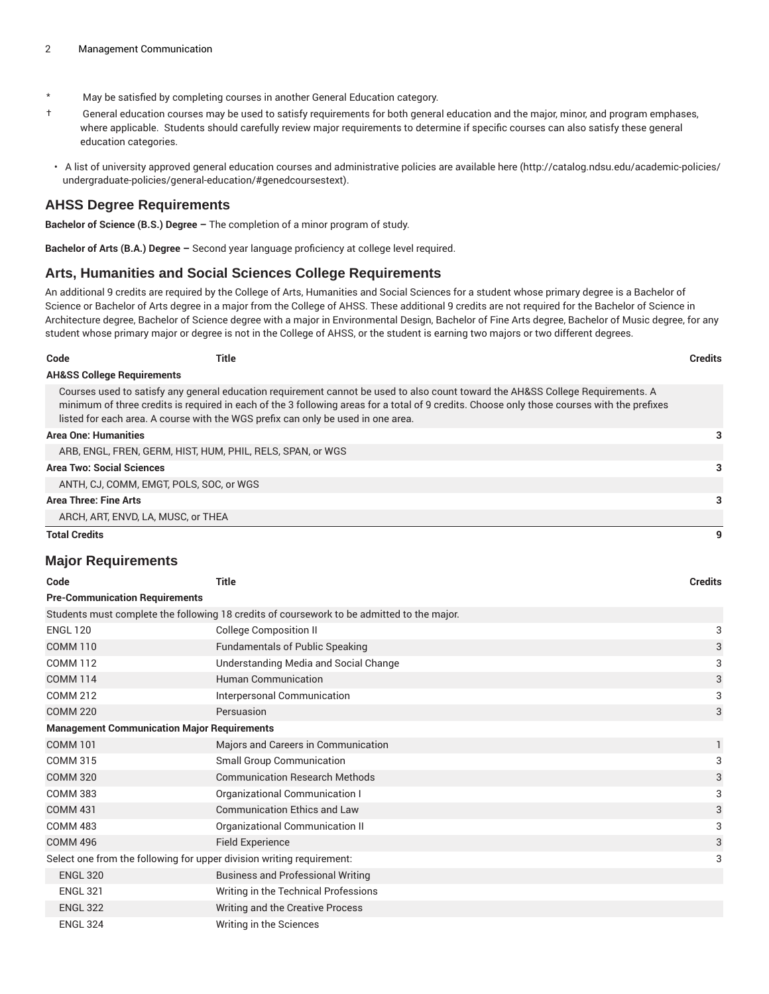- \* May be satisfied by completing courses in another General Education category.
- † General education courses may be used to satisfy requirements for both general education and the major, minor, and program emphases, where applicable. Students should carefully review major requirements to determine if specific courses can also satisfy these general education categories.
- A list of university approved general education courses and administrative policies are available [here](http://catalog.ndsu.edu/academic-policies/undergraduate-policies/general-education/#genedcoursestext) ([http://catalog.ndsu.edu/academic-policies/](http://catalog.ndsu.edu/academic-policies/undergraduate-policies/general-education/#genedcoursestext) [undergraduate-policies/general-education/#genedcoursestext](http://catalog.ndsu.edu/academic-policies/undergraduate-policies/general-education/#genedcoursestext)).

#### **AHSS Degree Requirements**

**Bachelor of Science (B.S.) Degree –** The completion of a minor program of study.

**Bachelor of Arts (B.A.) Degree –** Second year language proficiency at college level required.

#### **Arts, Humanities and Social Sciences College Requirements**

An additional 9 credits are required by the College of Arts, Humanities and Social Sciences for a student whose primary degree is a Bachelor of Science or Bachelor of Arts degree in a major from the College of AHSS. These additional 9 credits are not required for the Bachelor of Science in Architecture degree, Bachelor of Science degree with a major in Environmental Design, Bachelor of Fine Arts degree, Bachelor of Music degree, for any student whose primary major or degree is not in the College of AHSS, or the student is earning two majors or two different degrees.

| ×<br>. .<br>۰.<br>- - - - |
|---------------------------|
|---------------------------|

#### **Code Title Credits**

#### **AH&SS College Requirements**

Courses used to satisfy any general education requirement cannot be used to also count toward the AH&SS College Requirements. A minimum of three credits is required in each of the 3 following areas for a total of 9 credits. Choose only those courses with the prefixes listed for each area. A course with the WGS prefix can only be used in one area.

#### **Area One: Humanities 3**

| <b>Total Credits</b>                                       |  |
|------------------------------------------------------------|--|
| ARCH, ART, ENVD, LA, MUSC, or THEA                         |  |
| Area Three: Fine Arts                                      |  |
| ANTH, CJ, COMM, EMGT, POLS, SOC, or WGS                    |  |
| <b>Area Two: Social Sciences</b>                           |  |
| ARB, ENGL, FREN, GERM, HIST, HUM, PHIL, RELS, SPAN, or WGS |  |
|                                                            |  |

#### **Major Requirements**

| Code                                                                                       | <b>Title</b>                             | <b>Credits</b> |  |
|--------------------------------------------------------------------------------------------|------------------------------------------|----------------|--|
| <b>Pre-Communication Requirements</b>                                                      |                                          |                |  |
| Students must complete the following 18 credits of coursework to be admitted to the major. |                                          |                |  |
| <b>ENGL 120</b>                                                                            | <b>College Composition II</b>            | 3              |  |
| <b>COMM 110</b>                                                                            | <b>Fundamentals of Public Speaking</b>   | 3              |  |
| <b>COMM 112</b>                                                                            | Understanding Media and Social Change    | 3              |  |
| <b>COMM 114</b>                                                                            | <b>Human Communication</b>               | 3              |  |
| <b>COMM 212</b>                                                                            | Interpersonal Communication              | 3              |  |
| <b>COMM 220</b>                                                                            | Persuasion                               | 3              |  |
| <b>Management Communication Major Requirements</b>                                         |                                          |                |  |
| <b>COMM 101</b>                                                                            | Majors and Careers in Communication      | $\mathbf{1}$   |  |
| <b>COMM 315</b>                                                                            | <b>Small Group Communication</b>         | 3              |  |
| <b>COMM 320</b>                                                                            | <b>Communication Research Methods</b>    | 3              |  |
| <b>COMM 383</b>                                                                            | Organizational Communication I           | 3              |  |
| <b>COMM 431</b>                                                                            | <b>Communication Ethics and Law</b>      | 3              |  |
| <b>COMM 483</b>                                                                            | Organizational Communication II          | 3              |  |
| <b>COMM 496</b>                                                                            | <b>Field Experience</b>                  | 3              |  |
| Select one from the following for upper division writing requirement:                      |                                          | 3              |  |
| <b>ENGL 320</b>                                                                            | <b>Business and Professional Writing</b> |                |  |
| <b>ENGL 321</b>                                                                            | Writing in the Technical Professions     |                |  |
| <b>ENGL 322</b>                                                                            | Writing and the Creative Process         |                |  |
| <b>ENGL 324</b>                                                                            | Writing in the Sciences                  |                |  |